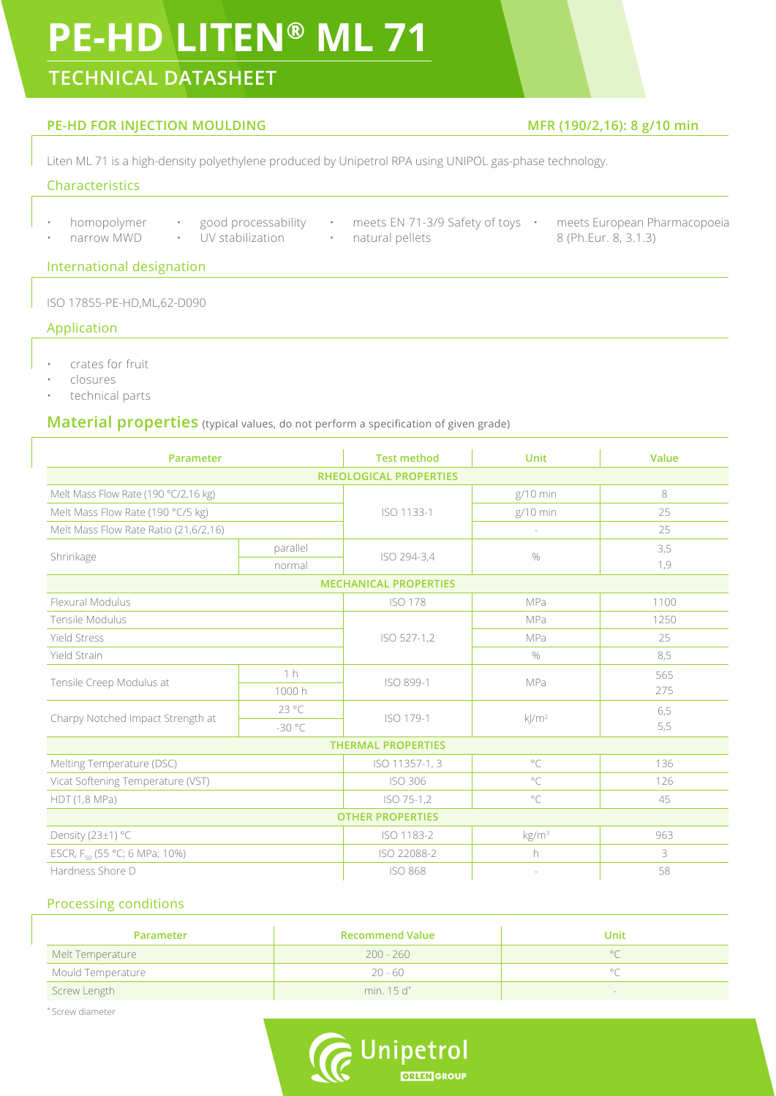# **PE-HD LITEN® ML 71**

### **TECHNICAL DATASHEET**

### **PE-HD FOR INJECTION MOULDING MFR (190/2,16): 8 g/10 min**

Liten ML 71 is a high-density polyethylene produced by Unipetrol RPA using UNIPOL gas-phase technology.

### Characteristics

- 
- narrow MWD UV stabilization
- natural pellets
- homopolymer good processability meets EN 71-3/9 Safety of toys meets European Pharmacopoeia 8 (Ph.Eur. 8, 3.1.3)

International designation

ISO 17855-PE-HD,ML,62-D090

### Application

- crates for fruit
- closures
- technical parts

### **Material properties** (typical values, do not perform a specification of given grade)

| <b>Parameter</b>                          |                | <b>Test method</b>            | <b>Unit</b>       | Value |
|-------------------------------------------|----------------|-------------------------------|-------------------|-------|
|                                           |                | <b>RHEOLOGICAL PROPERTIES</b> |                   |       |
| Melt Mass Flow Rate (190 °C/2,16 kg)      |                | ISO 1133-1                    | $g/10$ min        | 8     |
| Melt Mass Flow Rate (190 °C/5 kg)         |                |                               | $g/10$ min        | 25    |
| Melt Mass Flow Rate Ratio (21,6/2,16)     |                |                               |                   | 25    |
| Shrinkage                                 | parallel       | ISO 294-3,4                   | $\%$              | 3,5   |
|                                           | normal         |                               |                   | 1,9   |
|                                           |                | <b>MECHANICAL PROPERTIES</b>  |                   |       |
| Flexural Modulus                          |                | <b>ISO 178</b>                | MPa               | 1100  |
| Tensile Modulus                           |                | ISO 527-1,2                   | MPa               | 1250  |
| <b>Yield Stress</b>                       |                |                               | MPa               | 25    |
| Yield Strain                              |                |                               | $\%$              | 8,5   |
| Tensile Creep Modulus at                  | 1 <sub>h</sub> | ISO 899-1                     |                   | 565   |
|                                           | 1000h          |                               | MPa               | 275   |
| Charpy Notched Impact Strength at         | $23^{\circ}$ C | ISO 179-1                     | $k/m^2$           | 6,5   |
|                                           | $-30 °C$       |                               |                   | 5,5   |
|                                           |                | <b>THERMAL PROPERTIES</b>     |                   |       |
| Melting Temperature (DSC)                 |                | ISO 11357-1, 3                | $\circ$ C         | 136   |
| Vicat Softening Temperature (VST)         |                | <b>ISO 306</b>                | $\circ$ C         | 126   |
| HDT (1,8 MPa)                             |                | ISO 75-1,2                    | $^{\circ}$ C      | 45    |
|                                           |                | <b>OTHER PROPERTIES</b>       |                   |       |
| Density (23±1) °C                         |                | ISO 1183-2                    | kg/m <sup>3</sup> | 963   |
| ESCR, F <sub>50</sub> (55 °C; 6 MPa; 10%) |                | ISO 22088-2                   | h                 | 3     |
| Hardness Shore D                          |                | <b>ISO 868</b>                |                   | 58    |

### Processing conditions

| <b>Parameter</b>  | <b>Recommend Value</b> | Unit |
|-------------------|------------------------|------|
| Melt Temperature  | $200 - 260$            |      |
| Mould Temperature | $20 - 60$              |      |
| Screw Length      | min. $15d^*$           |      |

\* Screw diameter